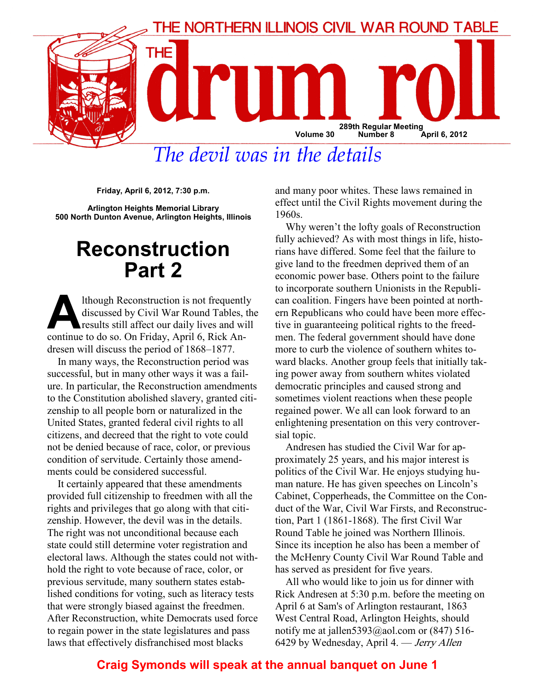

The devil was in the details

Friday, April 6, 2012, 7:30 p.m.

Arlington Heights Memorial Library 500 North Dunton Avenue, Arlington Heights, Illinois

# Reconstruction Part 2

Ithough Reconstruction is not frequently<br>discussed by Civil War Round Tables, the<br>results still affect our daily lives and will<br>continue to do so. On Friday, April 6, Rick Apdiscussed by Civil War Round Tables, the results still affect our daily lives and will continue to do so. On Friday, April 6, Rick Andresen will discuss the period of 1868–1877.

In many ways, the Reconstruction period was successful, but in many other ways it was a failure. In particular, the Reconstruction amendments to the Constitution abolished slavery, granted citizenship to all people born or naturalized in the United States, granted federal civil rights to all citizens, and decreed that the right to vote could not be denied because of race, color, or previous condition of servitude. Certainly those amendments could be considered successful.

It certainly appeared that these amendments provided full citizenship to freedmen with all the rights and privileges that go along with that citizenship. However, the devil was in the details. The right was not unconditional because each state could still determine voter registration and electoral laws. Although the states could not withhold the right to vote because of race, color, or previous servitude, many southern states established conditions for voting, such as literacy tests that were strongly biased against the freedmen. After Reconstruction, white Democrats used force to regain power in the state legislatures and pass laws that effectively disfranchised most blacks

and many poor whites. These laws remained in effect until the Civil Rights movement during the 1960s.

Why weren't the lofty goals of Reconstruction fully achieved? As with most things in life, historians have differed. Some feel that the failure to give land to the freedmen deprived them of an economic power base. Others point to the failure to incorporate southern Unionists in the Republican coalition. Fingers have been pointed at northern Republicans who could have been more effective in guaranteeing political rights to the freedmen. The federal government should have done more to curb the violence of southern whites toward blacks. Another group feels that initially taking power away from southern whites violated democratic principles and caused strong and sometimes violent reactions when these people regained power. We all can look forward to an enlightening presentation on this very controversial topic.

Andresen has studied the Civil War for approximately 25 years, and his major interest is politics of the Civil War. He enjoys studying human nature. He has given speeches on Lincoln's Cabinet, Copperheads, the Committee on the Conduct of the War, Civil War Firsts, and Reconstruction, Part 1 (1861-1868). The first Civil War Round Table he joined was Northern Illinois. Since its inception he also has been a member of the McHenry County Civil War Round Table and has served as president for five years.

All who would like to join us for dinner with Rick Andresen at 5:30 p.m. before the meeting on April 6 at Sam's of Arlington restaurant, 1863 West Central Road, Arlington Heights, should notify me at jallen  $5393$  @aol.com or (847) 516-6429 by Wednesday, April 4. — Jerry Allen

## Craig Symonds will speak at the annual banquet on June 1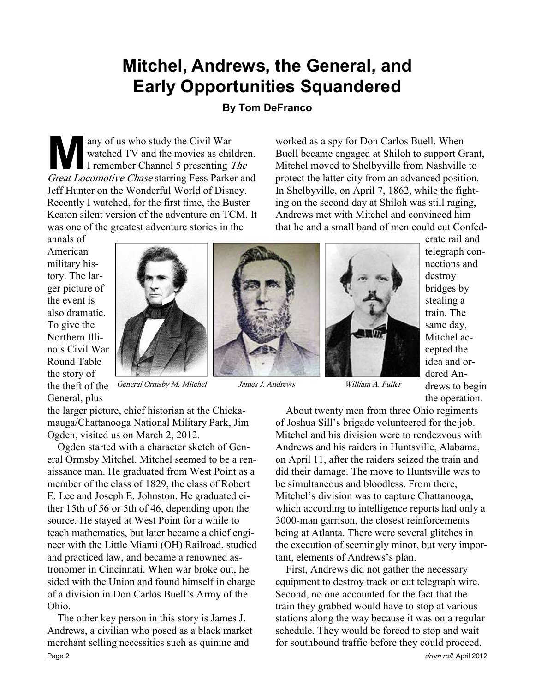## Mitchel, Andrews, the General, and Early Opportunities Squandered

## By Tom DeFranco

M any of us who study the Civil War<br>watched TV and the movies as chil<br>I remember Channel 5 presenting Treat Locomotive Chase starring Fess Parke watched TV and the movies as children. I remember Channel 5 presenting The Great Locomotive Chase starring Fess Parker and Jeff Hunter on the Wonderful World of Disney. Recently I watched, for the first time, the Buster Keaton silent version of the adventure on TCM. It was one of the greatest adventure stories in the

worked as a spy for Don Carlos Buell. When Buell became engaged at Shiloh to support Grant, Mitchel moved to Shelbyville from Nashville to protect the latter city from an advanced position. In Shelbyville, on April 7, 1862, while the fighting on the second day at Shiloh was still raging, Andrews met with Mitchel and convinced him that he and a small band of men could cut Confed-

annals of American military history. The larger picture of the event is also dramatic. To give the Northern Illinois Civil War Round Table the story of General, plus



the theft of the General Ormsby M. Mitchel James J. Andrews William A. Fuller



erate rail and telegraph connections and destroy bridges by stealing a train. The same day, Mitchel accepted the idea and ordered Andrews to begin the operation.

the larger picture, chief historian at the Chickamauga/Chattanooga National Military Park, Jim Ogden, visited us on March 2, 2012.

Ogden started with a character sketch of General Ormsby Mitchel. Mitchel seemed to be a renaissance man. He graduated from West Point as a member of the class of 1829, the class of Robert E. Lee and Joseph E. Johnston. He graduated either 15th of 56 or 5th of 46, depending upon the source. He stayed at West Point for a while to teach mathematics, but later became a chief engineer with the Little Miami (OH) Railroad, studied and practiced law, and became a renowned astronomer in Cincinnati. When war broke out, he sided with the Union and found himself in charge of a division in Don Carlos Buell's Army of the Ohio.

The other key person in this story is James J. Andrews, a civilian who posed as a black market merchant selling necessities such as quinine and Page 2 drum roll, April 2012

About twenty men from three Ohio regiments of Joshua Sill's brigade volunteered for the job. Mitchel and his division were to rendezvous with Andrews and his raiders in Huntsville, Alabama, on April 11, after the raiders seized the train and did their damage. The move to Huntsville was to be simultaneous and bloodless. From there, Mitchel's division was to capture Chattanooga, which according to intelligence reports had only a 3000-man garrison, the closest reinforcements being at Atlanta. There were several glitches in the execution of seemingly minor, but very important, elements of Andrews's plan.

First, Andrews did not gather the necessary equipment to destroy track or cut telegraph wire. Second, no one accounted for the fact that the train they grabbed would have to stop at various stations along the way because it was on a regular schedule. They would be forced to stop and wait for southbound traffic before they could proceed.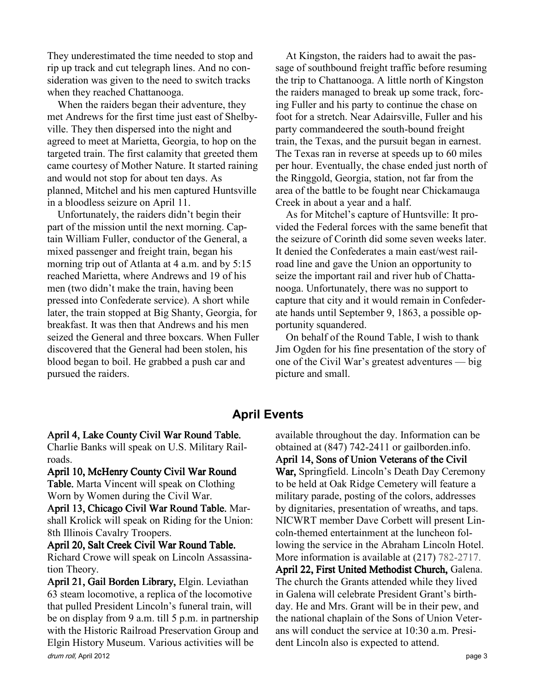They underestimated the time needed to stop and rip up track and cut telegraph lines. And no consideration was given to the need to switch tracks when they reached Chattanooga.

When the raiders began their adventure, they met Andrews for the first time just east of Shelbyville. They then dispersed into the night and agreed to meet at Marietta, Georgia, to hop on the targeted train. The first calamity that greeted them came courtesy of Mother Nature. It started raining and would not stop for about ten days. As planned, Mitchel and his men captured Huntsville in a bloodless seizure on April 11.

Unfortunately, the raiders didn't begin their part of the mission until the next morning. Captain William Fuller, conductor of the General, a mixed passenger and freight train, began his morning trip out of Atlanta at 4 a.m. and by 5:15 reached Marietta, where Andrews and 19 of his men (two didn't make the train, having been pressed into Confederate service). A short while later, the train stopped at Big Shanty, Georgia, for breakfast. It was then that Andrews and his men seized the General and three boxcars. When Fuller discovered that the General had been stolen, his blood began to boil. He grabbed a push car and pursued the raiders.

At Kingston, the raiders had to await the passage of southbound freight traffic before resuming the trip to Chattanooga. A little north of Kingston the raiders managed to break up some track, forcing Fuller and his party to continue the chase on foot for a stretch. Near Adairsville, Fuller and his party commandeered the south-bound freight train, the Texas, and the pursuit began in earnest. The Texas ran in reverse at speeds up to 60 miles per hour. Eventually, the chase ended just north of the Ringgold, Georgia, station, not far from the area of the battle to be fought near Chickamauga Creek in about a year and a half.

As for Mitchel's capture of Huntsville: It provided the Federal forces with the same benefit that the seizure of Corinth did some seven weeks later. It denied the Confederates a main east/west railroad line and gave the Union an opportunity to seize the important rail and river hub of Chattanooga. Unfortunately, there was no support to capture that city and it would remain in Confederate hands until September 9, 1863, a possible opportunity squandered.

On behalf of the Round Table, I wish to thank Jim Ogden for his fine presentation of the story of one of the Civil War's greatest adventures — big picture and small.

## April Events

#### April 4, Lake County Civil War Round Table.

Charlie Banks will speak on U.S. Military Railroads.

#### April 10, McHenry County Civil War Round

Table. Marta Vincent will speak on Clothing Worn by Women during the Civil War.

April 13, Chicago Civil War Round Table. Marshall Krolick will speak on Riding for the Union: 8th Illinois Cavalry Troopers.

#### April 20, Salt Creek Civil War Round Table. Richard Crowe will speak on Lincoln Assassina-

tion Theory.

drum roll, April 2012 **page 3** April 21, Gail Borden Library, Elgin. Leviathan 63 steam locomotive, a replica of the locomotive that pulled President Lincoln's funeral train, will be on display from 9 a.m. till 5 p.m. in partnership with the Historic Railroad Preservation Group and Elgin History Museum. Various activities will be

available throughout the day. Information can be obtained at (847) 742-2411 or gailborden.info. April 14, Sons of Union Veterans of the Civil War, Springfield. Lincoln's Death Day Ceremony to be held at Oak Ridge Cemetery will feature a military parade, posting of the colors, addresses by dignitaries, presentation of wreaths, and taps. NICWRT member Dave Corbett will present Lincoln-themed entertainment at the luncheon following the service in the Abraham Lincoln Hotel. More information is available at  $(217)$  782-2717. April 22, First United Methodist Church, Galena. The church the Grants attended while they lived in Galena will celebrate President Grant's birthday. He and Mrs. Grant will be in their pew, and the national chaplain of the Sons of Union Veterans will conduct the service at 10:30 a.m. President Lincoln also is expected to attend.